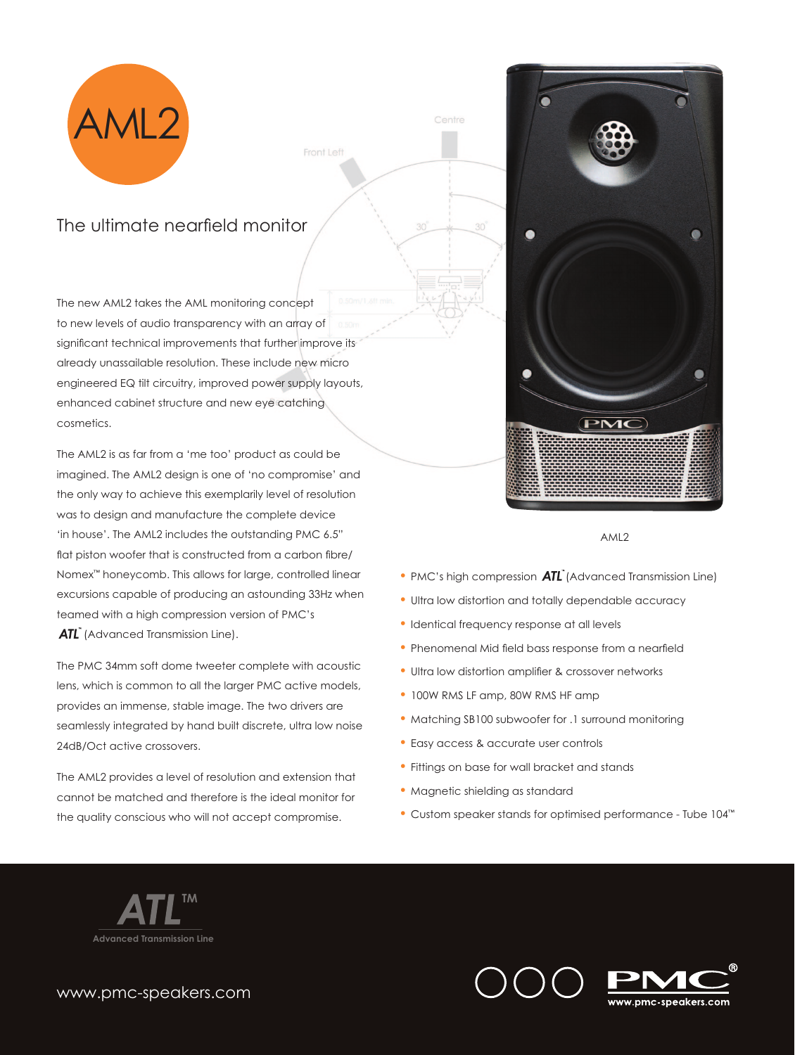

Front Left

## The ultimate nearfield monitor

The new AML2 takes the AML monitoring concept to new levels of audio transparency with an array of significant technical improvements that further improve its already unassailable resolution. These include new micro engineered EQ tilt circuitry, improved power supply layouts, enhanced cabinet structure and new eye catching cosmetics.

The AML2 is as far from a 'me too' product as could be imagined. The AML2 design is one of 'no compromise' and the only way to achieve this exemplarily level of resolution was to design and manufacture the complete device 'in house'. The AML2 includes the outstanding PMC 6.5" flat piston woofer that is constructed from a carbon fibre/ Nomex™ honeycomb. This allows for large, controlled linear excursions capable of producing an astounding 33Hz when teamed with a high compression version of PMC's ATL<sup>®</sup> (Advanced Transmission Line).

The PMC 34mm soft dome tweeter complete with acoustic lens, which is common to all the larger PMC active models, provides an immense, stable image. The two drivers are seamlessly integrated by hand built discrete, ultra low noise 24dB/Oct active crossovers.

The AML2 provides a level of resolution and extension that cannot be matched and therefore is the ideal monitor for the quality conscious who will not accept compromise.



AML2

- PMC's high compression  $\overline{ATL}^n$  (Advanced Transmission Line)
- Ultra low distortion and totally dependable accuracy
- Identical frequency response at all levels
- Phenomenal Mid field bass response from a nearfield
- Ultra low distortion amplifier & crossover networks
- 100W RMS LF amp, 80W RMS HF amp
- Matching SB100 subwoofer for .1 surround monitoring
- Easy access & accurate user controls
- Fittings on base for wall bracket and stands
- Magnetic shielding as standard
- Custom speaker stands for optimised performance Tube 104™



www.pmc-speakers.com